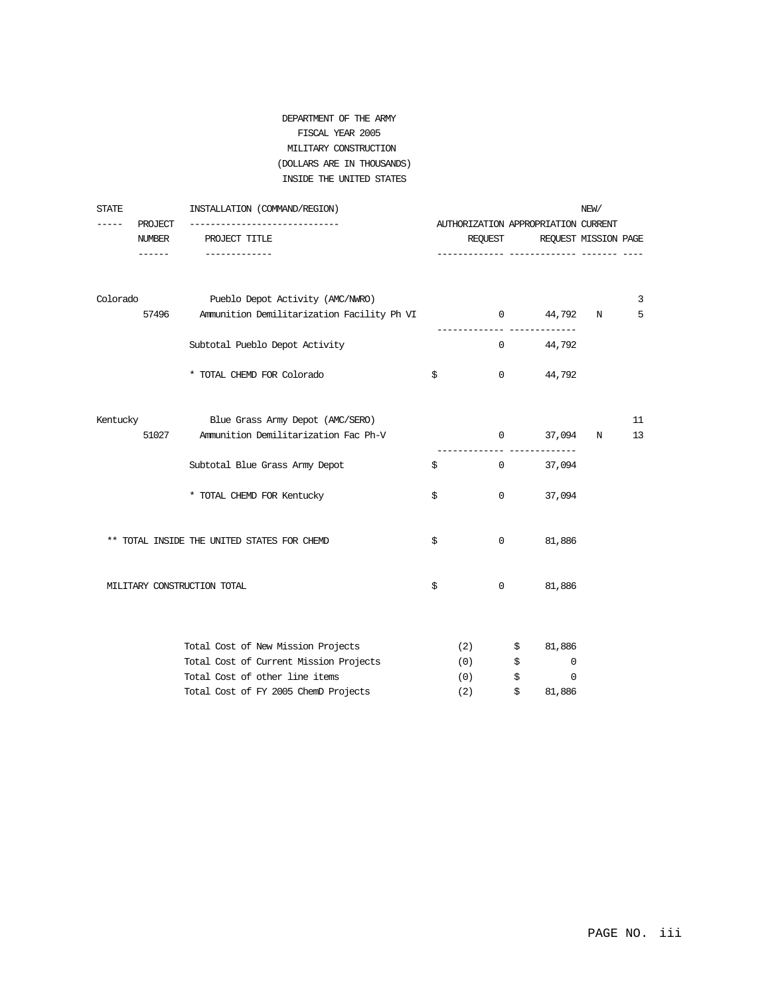### DEPARTMENT OF THE ARMY FISCAL YEAR 2005 MILITARY CONSTRUCTION (DOLLARS ARE IN THOUSANDS) INSIDE THE UNITED STATES

| STATE             | INSTALLATION (COMMAND/REGION)                            |     |                   |                                     | NEW/ |    |
|-------------------|----------------------------------------------------------|-----|-------------------|-------------------------------------|------|----|
| PROJECT<br>------ |                                                          |     |                   | AUTHORIZATION APPROPRIATION CURRENT |      |    |
| NUMBER<br>------  | PROJECT TITLE<br>--------------                          |     | REOUEST           | REQUEST MISSION PAGE                |      |    |
|                   | Colorado Pueblo Depot Activity (AMC/NWRO)                |     |                   |                                     |      | 3  |
|                   | 57496 Ammunition Demilitarization Facility Ph VI         |     |                   | 0 $44,792$ N<br>--------            |      | 5  |
|                   | Subtotal Pueblo Depot Activity                           |     |                   | 44,792<br>$0 \qquad \qquad$         |      |    |
|                   | * TOTAL CHEMD FOR Colorado                               | \$  | $\overline{0}$    | 44,792                              |      |    |
| Kentucky          | Blue Grass Army Depot (AMC/SERO)                         |     |                   |                                     |      | 11 |
|                   | Ammunition Demilitarization Fac Ph-V<br>51027            |     | $0 \qquad \qquad$ | 37,094                              | N    | 13 |
|                   | Subtotal Blue Grass Army Depot                           | \$  | $0 \qquad \qquad$ | 37,094                              |      |    |
|                   | * TOTAL CHEMD FOR Kentucky                               | \$  | $\overline{0}$    | 37,094                              |      |    |
|                   | $^{\star\star}$ TOTAL INSIDE THE UNITED STATES FOR CHEMD | \$  | $\overline{0}$    | 81,886                              |      |    |
|                   | MILITARY CONSTRUCTION TOTAL                              | \$  | $\mathbf{0}$      | 81,886                              |      |    |
|                   | Total Cost of New Mission Projects                       |     | (2)<br>\$         | 81,886                              |      |    |
|                   | Total Cost of Current Mission Projects                   |     | (0)<br>\$         | 0                                   |      |    |
|                   | Total Cost of other line items                           |     | (0)<br>\$         | 0                                   |      |    |
|                   | Total Cost of FY 2005 ChemD Projects                     | (2) | \$                | 81,886                              |      |    |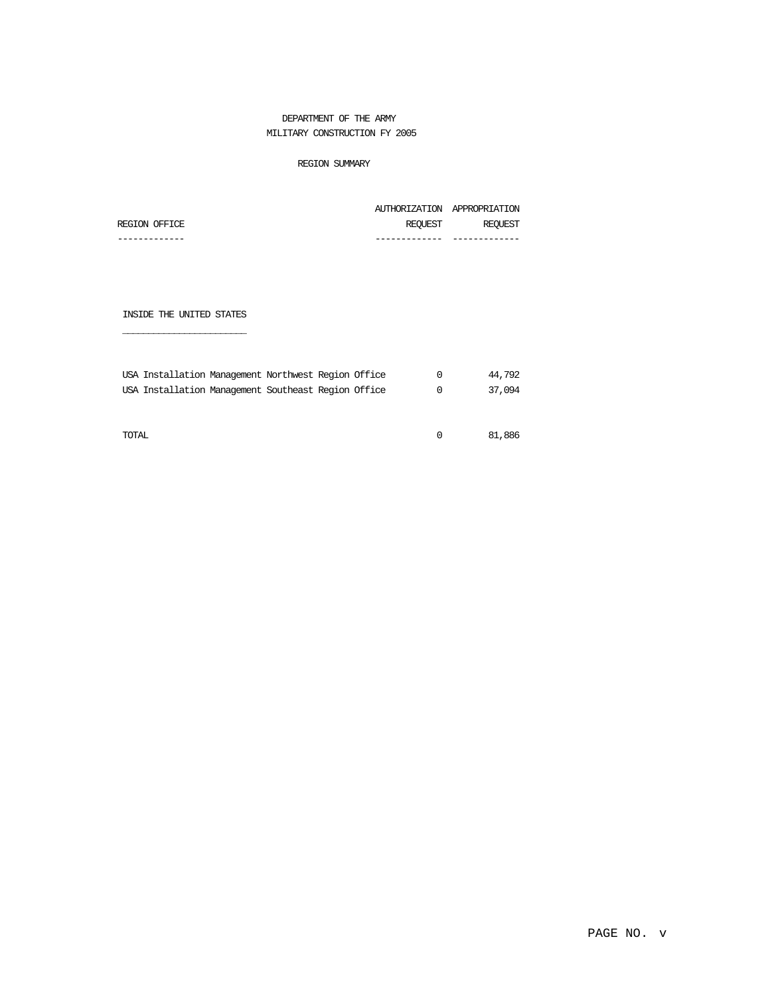#### DEPARTMENT OF THE ARMY MILITARY CONSTRUCTION FY 2005

#### REGION SUMMARY

|               |         | AUTHORIZATION APPROPRIATION |
|---------------|---------|-----------------------------|
| REGION OFFICE | REOUEST | REOUEST                     |
|               |         |                             |

INSIDE THE UNITED STATES

\_\_\_\_\_\_\_\_\_\_\_\_\_\_\_\_\_\_\_\_\_\_\_\_

| USA Installation Management Northwest Region Office |  |  | 44.792 |
|-----------------------------------------------------|--|--|--------|
| USA Installation Management Southeast Region Office |  |  | 37,094 |
|                                                     |  |  |        |
|                                                     |  |  |        |

TOTAL 0 81,886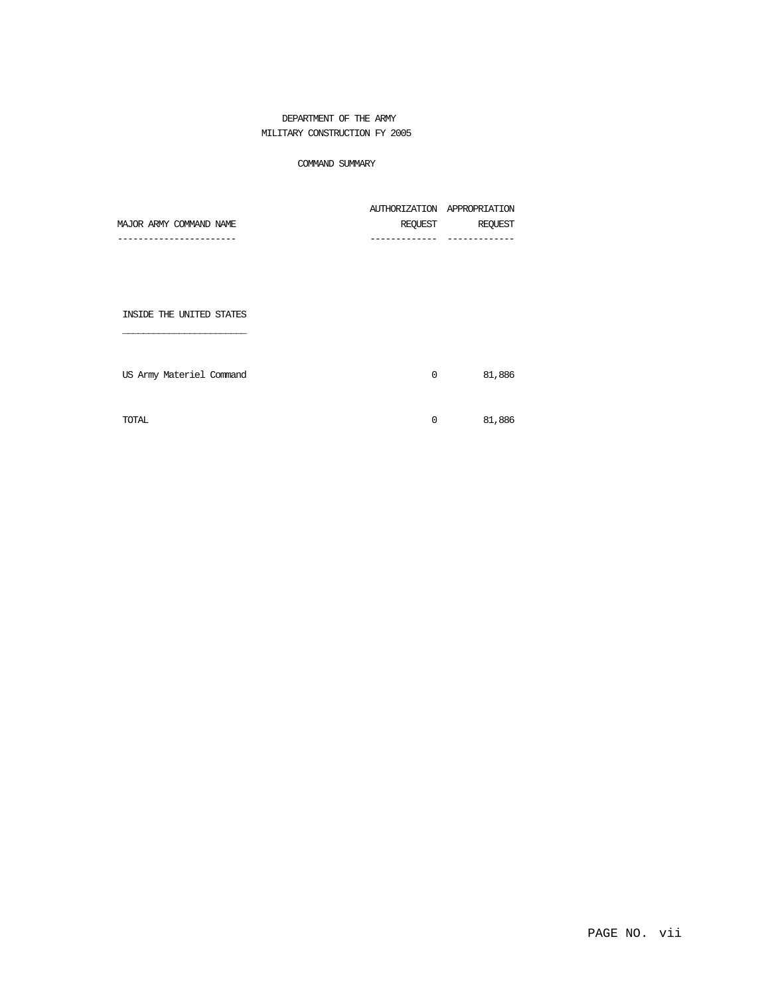#### DEPARTMENT OF THE ARMY MILITARY CONSTRUCTION FY 2005

#### COMMAND SUMMARY

| MAJOR ARMY COMMAND NAME | REOUEST | REQUEST                     |
|-------------------------|---------|-----------------------------|
|                         |         | AUTHORIZATION APPROPRIATION |

INSIDE THE UNITED STATES

\_\_\_\_\_\_\_\_\_\_\_\_\_\_\_\_\_\_\_\_\_\_\_\_

| US Army Materiel Command | 0      | 81,886 |
|--------------------------|--------|--------|
|                          |        |        |
| TOTAL                    | $\cap$ | 81,886 |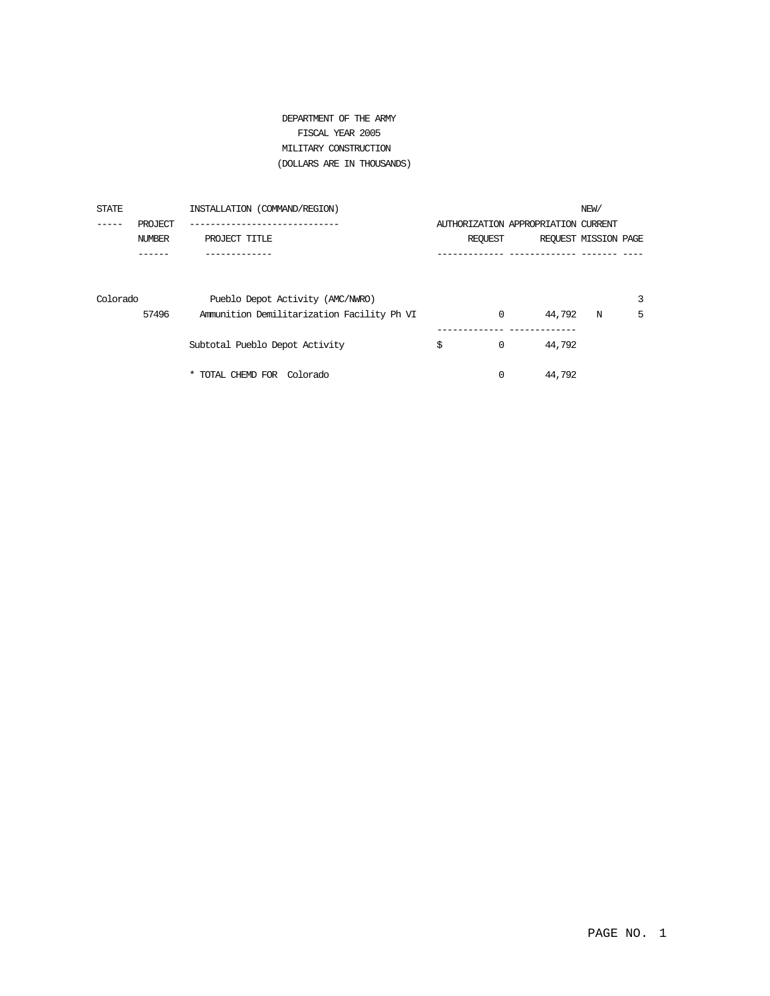### DEPARTMENT OF THE ARMY FISCAL YEAR 2005 MILITARY CONSTRUCTION (DOLLARS ARE IN THOUSANDS)

| STATE    |         | INSTALLATION (COMMAND/REGION)              |                                     |        | NEW/                 |   |
|----------|---------|--------------------------------------------|-------------------------------------|--------|----------------------|---|
|          | PROJECT |                                            | AUTHORIZATION APPROPRIATION CURRENT |        |                      |   |
|          | NUMBER  | PROJECT TITLE                              | REOUEST                             |        | REQUEST MISSION PAGE |   |
|          |         |                                            |                                     |        |                      |   |
|          |         |                                            |                                     |        |                      |   |
| Colorado |         | Pueblo Depot Activity (AMC/NWRO)           |                                     |        |                      | 3 |
|          | 57496   | Ammunition Demilitarization Facility Ph VI | $\mathbf 0$                         | 44,792 | N                    | 5 |
|          |         | Subtotal Pueblo Depot Activity             | \$<br>0                             | 44,792 |                      |   |
|          |         | * TOTAL CHEMD FOR<br>Colorado              | $\Omega$                            | 44,792 |                      |   |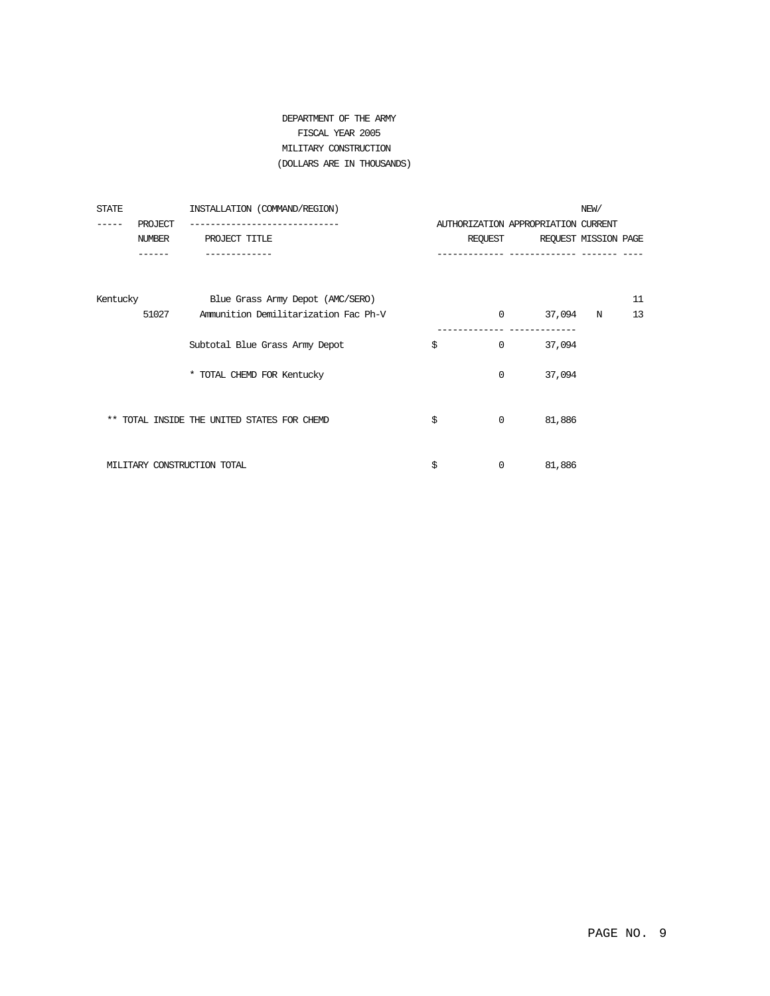### DEPARTMENT OF THE ARMY FISCAL YEAR 2005 MILITARY CONSTRUCTION (DOLLARS ARE IN THOUSANDS)

| STATE    |         | INSTALLATION (COMMAND/REGION)               |                    |                                     | NEW/ |    |
|----------|---------|---------------------------------------------|--------------------|-------------------------------------|------|----|
| ------   | PROJECT |                                             |                    | AUTHORIZATION APPROPRIATION CURRENT |      |    |
|          | NUMBER  | PROJECT TITLE                               |                    | REQUEST REQUEST MISSION PAGE        |      |    |
|          |         |                                             |                    | --------------                      |      |    |
| Kentucky |         | Blue Grass Army Depot (AMC/SERO)            |                    |                                     |      | 11 |
|          | 51027   | Ammunition Demilitarization Fac Ph-V        | $\Omega$           | 37,094                              | N    | 13 |
|          |         | Subtotal Blue Grass Army Depot              | \$<br>$\mathbf{0}$ | 37,094                              |      |    |
|          |         | * TOTAL CHEMD FOR Kentucky                  | $\Omega$           | 37,094                              |      |    |
|          |         | ** TOTAL INSIDE THE UNITED STATES FOR CHEMD | \$<br>$\Omega$     | 81,886                              |      |    |
|          |         | MILITARY CONSTRUCTION TOTAL                 | \$<br>0            | 81,886                              |      |    |